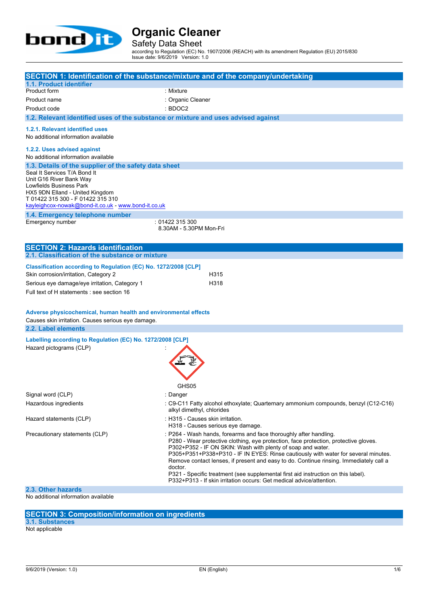

Safety Data Sheet

according to Regulation (EC) No. 1907/2006 (REACH) with its amendment Regulation (EU) 2015/830 Issue date: 9/6/2019 Version: 1.0

**SECTION 1: Identification of the substance/mixture and of the company/undertaking 1.1. Product identifier** Product form : Mixture Product name  $\qquad \qquad$  : Organic Cleaner Product code : BDOC2 **1.2. Relevant identified uses of the substance or mixture and uses advised against 1.2.1. Relevant identified uses** No additional information available **1.2.2. Uses advised against** No additional information available **1.3. Details of the supplier of the safety data sheet 1.4. Emergency telephone number** Emergency number : 01422 315 300 8.30AM - 5.30PM Mon-Fri **SECTION 2: Hazards identification 2.1. Classification of the substance or mixture Classification according to Regulation (EC) No. 1272/2008 [CLP]** Skin corrosion/irritation, Category 2 H315 Serious eye damage/eye irritation, Category 1 H318 Full text of H statements : see section 16 **Adverse physicochemical, human health and environmental effects** Causes skin irritation. Causes serious eye damage. **2.2. Label elements Labelling according to Regulation (EC)** No. 1272/2008 [CLP] Hazard pictograms (CLP) : GHS<sub>05</sub> Signal word (CLP) **in the set of the Signal word (CLP)** and the set of the set of the Signal and the Signal and S Hazardous ingredients : C9-C11 Fatty alcohol ethoxylate; Quarternary ammonium compounds, benzyl (C12-C16) alkyl dimethyl, chlorides Hazard statements (CLP)  $\qquad \qquad$ : H315 - Causes skin irritation. H318 - Causes serious eye damage. Precautionary statements (CLP) : P264 - Wash hands, forearms and face thoroughly after handling. P280 - Wear protective clothing, eye protection, face protection, protective gloves. P302+P352 - IF ON SKIN: Wash with plenty of soap and water. P305+P351+P338+P310 - IF IN EYES: Rinse cautiously with water for several minutes. Remove contact lenses, if present and easy to do. Continue rinsing. Immediately call a doctor. P321 - Specific treatment (see supplemental first aid instruction on this label). P332+P313 - If skin irritation occurs: Get medical advice/attention. **2.3. Other hazards** Seal It Services T/A Bond It Unit G16 River Bank Way Lowfields Business Park HX5 9DN Elland - United Kingdom T 01422 315 300 - F 01422 315 310 [kayleighcox-nowak@bond-it.co.uk](mailto:kayleighcox-nowak@bond-it.co.uk) - <www.bond-it.co.uk>

No additional information available

### **SECTION 3: Composition/information on ingredients**

**3.1. Substances**

Not applicable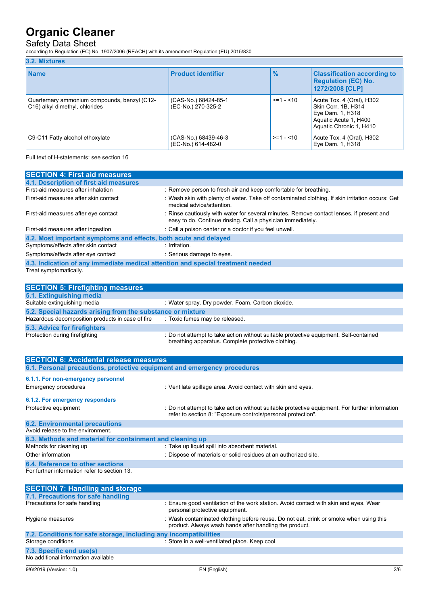## Safety Data Sheet

according to Regulation (EC) No. 1907/2006 (REACH) with its amendment Regulation (EU) 2015/830

#### **3.2. Mixtures**

| <b>Name</b>                                                                    | <b>Product identifier</b>                  | $\frac{9}{6}$ | <b>Classification according to</b><br><b>Regulation (EC) No.</b><br>1272/2008 [CLP]                                      |
|--------------------------------------------------------------------------------|--------------------------------------------|---------------|--------------------------------------------------------------------------------------------------------------------------|
| Quarternary ammonium compounds, benzyl (C12-<br>C16) alkyl dimethyl, chlorides | (CAS-No.) 68424-85-1<br>(EC-No.) 270-325-2 | $>=1 - 10$    | Acute Tox. 4 (Oral), H302<br>Skin Corr. 1B, H314<br>Eye Dam. 1, H318<br>Aquatic Acute 1, H400<br>Aquatic Chronic 1, H410 |
| C9-C11 Fatty alcohol ethoxylate                                                | (CAS-No.) 68439-46-3<br>(EC-No.) 614-482-0 | $>=1 - 10$    | Acute Tox. 4 (Oral), H302<br>Eye Dam. 1, H318                                                                            |

Full text of H-statements: see section 16

| <b>SECTION 4: First aid measures</b>                                            |                                                                                                                                                         |
|---------------------------------------------------------------------------------|---------------------------------------------------------------------------------------------------------------------------------------------------------|
| 4.1. Description of first aid measures                                          |                                                                                                                                                         |
| First-aid measures after inhalation                                             | : Remove person to fresh air and keep comfortable for breathing.                                                                                        |
| First-aid measures after skin contact                                           | : Wash skin with plenty of water. Take off contaminated clothing. If skin irritation occurs: Get<br>medical advice/attention.                           |
| First-aid measures after eye contact                                            | : Rinse cautiously with water for several minutes. Remove contact lenses, if present and<br>easy to do. Continue rinsing. Call a physician immediately. |
| First-aid measures after ingestion                                              | : Call a poison center or a doctor if you feel unwell.                                                                                                  |
| 4.2. Most important symptoms and effects, both acute and delayed                |                                                                                                                                                         |
| Symptoms/effects after skin contact                                             | : Irritation.                                                                                                                                           |
| Symptoms/effects after eye contact                                              | : Serious damage to eyes.                                                                                                                               |
| 4.3. Indication of any immediate medical attention and special treatment needed |                                                                                                                                                         |
| Treat symptomatically.                                                          |                                                                                                                                                         |
|                                                                                 |                                                                                                                                                         |

| <b>SECTION 5: Firefighting measures</b>                    |                                                                                                                                             |  |  |  |
|------------------------------------------------------------|---------------------------------------------------------------------------------------------------------------------------------------------|--|--|--|
| 5.1. Extinguishing media                                   |                                                                                                                                             |  |  |  |
| Suitable extinguishing media                               | : Water spray. Dry powder. Foam. Carbon dioxide.                                                                                            |  |  |  |
| 5.2. Special hazards arising from the substance or mixture |                                                                                                                                             |  |  |  |
| Hazardous decomposition products in case of fire           | : Toxic fumes may be released.                                                                                                              |  |  |  |
| 5.3. Advice for firefighters                               |                                                                                                                                             |  |  |  |
| Protection during firefighting                             | : Do not attempt to take action without suitable protective equipment. Self-contained<br>breathing apparatus. Complete protective clothing. |  |  |  |

| <b>SECTION 6: Accidental release measures</b>                            |                                                                                                                                                                |  |  |  |
|--------------------------------------------------------------------------|----------------------------------------------------------------------------------------------------------------------------------------------------------------|--|--|--|
| 6.1. Personal precautions, protective equipment and emergency procedures |                                                                                                                                                                |  |  |  |
| 6.1.1. For non-emergency personnel                                       |                                                                                                                                                                |  |  |  |
| Emergency procedures                                                     | : Ventilate spillage area. Avoid contact with skin and eyes.                                                                                                   |  |  |  |
| 6.1.2. For emergency responders                                          |                                                                                                                                                                |  |  |  |
| Protective equipment                                                     | : Do not attempt to take action without suitable protective equipment. For further information<br>refer to section 8: "Exposure controls/personal protection". |  |  |  |
| <b>6.2. Environmental precautions</b>                                    |                                                                                                                                                                |  |  |  |
| Avoid release to the environment.                                        |                                                                                                                                                                |  |  |  |
| 6.3. Methods and material for containment and cleaning up                |                                                                                                                                                                |  |  |  |
| Methods for cleaning up                                                  | : Take up liquid spill into absorbent material.                                                                                                                |  |  |  |
| Other information                                                        | : Dispose of materials or solid residues at an authorized site.                                                                                                |  |  |  |
| 6.4. Reference to other sections                                         |                                                                                                                                                                |  |  |  |
| For further information refer to section 13.                             |                                                                                                                                                                |  |  |  |

| <b>SECTION 7: Handling and storage</b>                            |                                                                                                                                                 |
|-------------------------------------------------------------------|-------------------------------------------------------------------------------------------------------------------------------------------------|
| 7.1. Precautions for safe handling                                |                                                                                                                                                 |
| Precautions for safe handling                                     | : Ensure good ventilation of the work station. Avoid contact with skin and eyes. Wear<br>personal protective equipment.                         |
| Hygiene measures                                                  | : Wash contaminated clothing before reuse. Do not eat, drink or smoke when using this<br>product. Always wash hands after handling the product. |
| 7.2. Conditions for safe storage, including any incompatibilities |                                                                                                                                                 |
| Storage conditions                                                | : Store in a well-ventilated place. Keep cool.                                                                                                  |
| 7.3. Specific end use(s)                                          |                                                                                                                                                 |
| No additional information available                               |                                                                                                                                                 |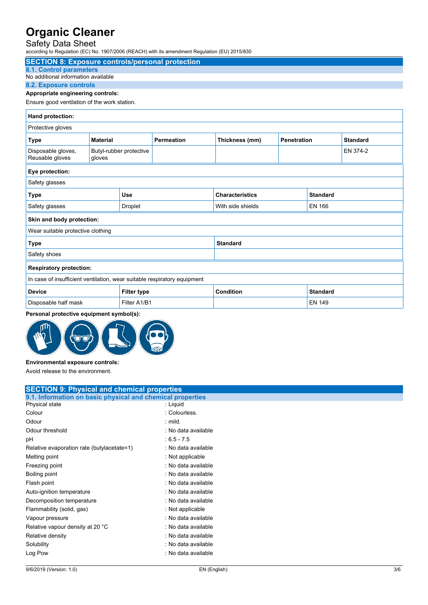## Safety Data Sheet

| according to Regulation (EC) No. 1907/2006 (REACH) with its amendment Regulation (EU) 2015/830 |                                                      |                                                                              |  |  |          |  |  |
|------------------------------------------------------------------------------------------------|------------------------------------------------------|------------------------------------------------------------------------------|--|--|----------|--|--|
| <b>SECTION 8: Exposure controls/personal protection</b>                                        |                                                      |                                                                              |  |  |          |  |  |
| 8.1. Control parameters                                                                        |                                                      |                                                                              |  |  |          |  |  |
| No additional information available                                                            |                                                      |                                                                              |  |  |          |  |  |
| 8.2. Exposure controls                                                                         |                                                      |                                                                              |  |  |          |  |  |
| Appropriate engineering controls:                                                              |                                                      |                                                                              |  |  |          |  |  |
| Ensure good ventilation of the work station.                                                   |                                                      |                                                                              |  |  |          |  |  |
| Hand protection:                                                                               |                                                      |                                                                              |  |  |          |  |  |
| Protective gloves                                                                              |                                                      |                                                                              |  |  |          |  |  |
| <b>Type</b>                                                                                    | <b>Material</b>                                      | Thickness (mm)<br><b>Permeation</b><br><b>Penetration</b><br><b>Standard</b> |  |  |          |  |  |
| Disposable gloves,<br>Reusable gloves                                                          | gloves                                               | Butyl-rubber protective                                                      |  |  | EN 374-2 |  |  |
| Eye protection:                                                                                |                                                      |                                                                              |  |  |          |  |  |
| Safety glasses                                                                                 |                                                      |                                                                              |  |  |          |  |  |
| <b>Type</b>                                                                                    | <b>Characteristics</b><br>Use<br><b>Standard</b>     |                                                                              |  |  |          |  |  |
| Safety glasses                                                                                 | <b>EN 166</b><br><b>Droplet</b><br>With side shields |                                                                              |  |  |          |  |  |
| Skin and body protection:                                                                      |                                                      |                                                                              |  |  |          |  |  |
| Wear suitable protective clothing                                                              |                                                      |                                                                              |  |  |          |  |  |
| <b>Standard</b><br><b>Type</b>                                                                 |                                                      |                                                                              |  |  |          |  |  |
| Safety shoes                                                                                   |                                                      |                                                                              |  |  |          |  |  |
| <b>Respiratory protection:</b>                                                                 |                                                      |                                                                              |  |  |          |  |  |

| In case of insufficient ventilation, wear suitable respiratory equipment |                    |           |          |
|--------------------------------------------------------------------------|--------------------|-----------|----------|
| <b>Device</b>                                                            | <b>Filter type</b> | Condition | Standard |
| Disposable half mask                                                     | Filter A1/B1       |           | EN 149   |

### **Personal protective equipment symbol(s):**



## **Environmental exposure controls:**

Avoid release to the environment.

| <b>SECTION 9: Physical and chemical properties</b>         |                     |  |
|------------------------------------------------------------|---------------------|--|
| 9.1. Information on basic physical and chemical properties |                     |  |
| Physical state                                             | : Liquid            |  |
| Colour                                                     | : Colourless.       |  |
| Odour                                                      | $:$ mild.           |  |
| Odour threshold                                            | : No data available |  |
| рH                                                         | $:6.5 - 7.5$        |  |
| Relative evaporation rate (butylacetate=1)                 | : No data available |  |
| Melting point                                              | : Not applicable    |  |
| Freezing point                                             | : No data available |  |
| Boiling point                                              | : No data available |  |
| Flash point                                                | : No data available |  |
| Auto-ignition temperature                                  | : No data available |  |
| Decomposition temperature                                  | : No data available |  |
| Flammability (solid, gas)                                  | : Not applicable    |  |
| Vapour pressure                                            | : No data available |  |
| Relative vapour density at 20 °C                           | : No data available |  |
| Relative density                                           | : No data available |  |
| Solubility                                                 | : No data available |  |
| Log Pow                                                    | : No data available |  |
|                                                            |                     |  |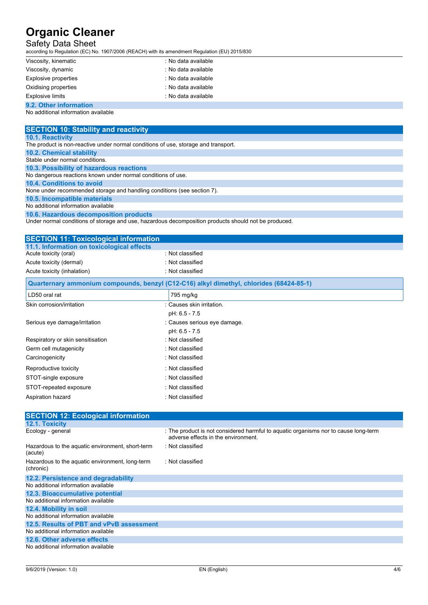### Safety Data Sheet

according to Regulation (EC) No. 1907/2006 (REACH) with its amendment Regulation (EU) 2015/830

| Viscosity, kinematic    | : No data available |
|-------------------------|---------------------|
| Viscosity, dynamic      | : No data available |
| Explosive properties    | : No data available |
| Oxidising properties    | : No data available |
| <b>Explosive limits</b> | : No data available |
| 9.2. Other information  |                     |

No additional information available

| <b>SECTION 10: Stability and reactivity</b>                                                          |
|------------------------------------------------------------------------------------------------------|
| <b>10.1. Reactivity</b>                                                                              |
| The product is non-reactive under normal conditions of use, storage and transport.                   |
| <b>10.2. Chemical stability</b>                                                                      |
| Stable under normal conditions.                                                                      |
| 10.3. Possibility of hazardous reactions                                                             |
| No dangerous reactions known under normal conditions of use.                                         |
| 10.4. Conditions to avoid                                                                            |
| None under recommended storage and handling conditions (see section 7).                              |
| 10.5. Incompatible materials                                                                         |
| No additional information available                                                                  |
| 10.6. Hazardous decomposition products                                                               |
| Under normal conditions of storage and use, hazardous decomposition products should not be produced. |
|                                                                                                      |
|                                                                                                      |

| <b>SECTION 11: Toxicological information</b> |                                                                                         |  |
|----------------------------------------------|-----------------------------------------------------------------------------------------|--|
| 11.1. Information on toxicological effects   |                                                                                         |  |
| Acute toxicity (oral)                        | : Not classified                                                                        |  |
| Acute toxicity (dermal)                      | : Not classified                                                                        |  |
| Acute toxicity (inhalation)                  | : Not classified                                                                        |  |
|                                              | Ougrtornary ammonium compounds, bonzyl (C12-C16) alkyl dimothyl, chloridge (68424-85-1) |  |

|                                   | Quarternary ammonium compounds, benzyl (C12-C16) alkyl dimethyl, chlorides (68424-85-1) |
|-----------------------------------|-----------------------------------------------------------------------------------------|
| LD50 oral rat                     | 795 mg/kg                                                                               |
| Skin corrosion/irritation         | : Causes skin irritation.                                                               |
|                                   | pH: 6.5 - 7.5                                                                           |
| Serious eye damage/irritation     | : Causes serious eye damage.                                                            |
|                                   | pH: 6.5 - 7.5                                                                           |
| Respiratory or skin sensitisation | : Not classified                                                                        |
| Germ cell mutagenicity            | : Not classified                                                                        |
| Carcinogenicity                   | : Not classified                                                                        |
| Reproductive toxicity             | : Not classified                                                                        |
| STOT-single exposure              | : Not classified                                                                        |
| STOT-repeated exposure            | : Not classified                                                                        |
| Aspiration hazard                 | : Not classified                                                                        |

| <b>SECTION 12: Ecological information</b>                    |                                                                                                                           |
|--------------------------------------------------------------|---------------------------------------------------------------------------------------------------------------------------|
| 12.1. Toxicity                                               |                                                                                                                           |
| Ecology - general                                            | : The product is not considered harmful to aquatic organisms nor to cause long-term<br>adverse effects in the environment |
| Hazardous to the aquatic environment, short-term<br>(acute)  | : Not classified                                                                                                          |
| Hazardous to the aquatic environment, long-term<br>(chronic) | : Not classified                                                                                                          |
| 12.2. Persistence and degradability                          |                                                                                                                           |
| No additional information available                          |                                                                                                                           |
| 12.3. Bioaccumulative potential                              |                                                                                                                           |
| No additional information available                          |                                                                                                                           |
| 12.4. Mobility in soil                                       |                                                                                                                           |
| No additional information available                          |                                                                                                                           |
| 12.5. Results of PBT and vPvB assessment                     |                                                                                                                           |
| No additional information available                          |                                                                                                                           |
| 12.6. Other adverse effects                                  |                                                                                                                           |
| No additional information available                          |                                                                                                                           |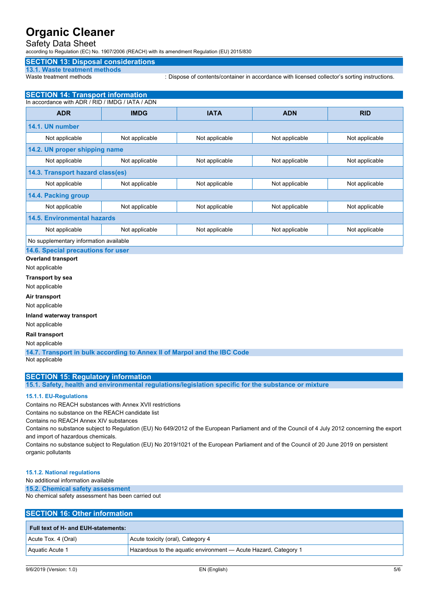### Safety Data Sheet

according to Regulation (EC) No. 1907/2006 (REACH) with its amendment Regulation (EU) 2015/830

#### **SECTION 13: Disposal considerations**

## **13.1. Waste treatment methods**

: Dispose of contents/container in accordance with licensed collector's sorting instructions.

#### **SECTION 14: Transport information** In accordance with ADR / RID / IMDG / IATA / ADN

| <b>ADR</b>                             | <b>IMDG</b>    | <b>IATA</b>    | <b>ADN</b>     | <b>RID</b>     |  |
|----------------------------------------|----------------|----------------|----------------|----------------|--|
| 14.1. UN number                        |                |                |                |                |  |
| Not applicable                         | Not applicable | Not applicable | Not applicable | Not applicable |  |
| 14.2. UN proper shipping name          |                |                |                |                |  |
| Not applicable                         | Not applicable | Not applicable | Not applicable | Not applicable |  |
| 14.3. Transport hazard class(es)       |                |                |                |                |  |
| Not applicable                         | Not applicable | Not applicable | Not applicable | Not applicable |  |
| 14.4. Packing group                    |                |                |                |                |  |
| Not applicable                         | Not applicable | Not applicable | Not applicable | Not applicable |  |
| <b>14.5. Environmental hazards</b>     |                |                |                |                |  |
| Not applicable                         | Not applicable | Not applicable | Not applicable | Not applicable |  |
| No supplementary information available |                |                |                |                |  |

**14.6. Special precautions for user**

**Overland transport**

Not applicable

**Transport by sea**

Not applicable

**Air transport**

Not applicable

**Inland waterway transport**

Not applicable

#### **Rail transport**

Not applicable

**14.7. Transport in bulk according to Annex II of Marpol and the IBC Code** Not applicable

#### **SECTION 15: Regulatory information**

**15.1. Safety, health and environmental regulations/legislation specific for the substance or mixture**

#### **15.1.1. EU-Regulations**

Contains no REACH substances with Annex XVII restrictions

Contains no substance on the REACH candidate list

Contains no REACH Annex XIV substances

Contains no substance subject to Regulation (EU) No 649/2012 of the European Parliament and of the Council of 4 July 2012 concerning the export and import of hazardous chemicals.

Contains no substance subject to Regulation (EU) No 2019/1021 of the European Parliament and of the Council of 20 June 2019 on persistent organic pollutants

#### **15.1.2. National regulations**

No additional information available

**15.2. Chemical safety assessment**

No chemical safety assessment has been carried out

#### **SECTION 16: Other information**

| Full text of H- and EUH-statements: |                                                                 |  |
|-------------------------------------|-----------------------------------------------------------------|--|
| Acute Tox. 4 (Oral)                 | Acute toxicity (oral), Category 4                               |  |
| Aquatic Acute 1                     | Hazardous to the aquatic environment — Acute Hazard, Category 1 |  |